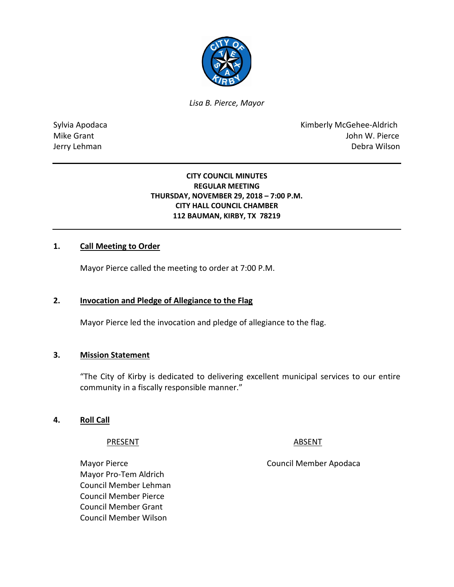

*Lisa B. Pierce, Mayor* 

Sylvia Apodaca National According Contract Contract Contract Contract Contract Contract Contract Contract Contract Contract Contract Contract Contract Contract Contract Contract Contract Contract Contract Contract Contract Mike Grant **Mike Grant** John W. Pierce Jerry Lehman Debra Wilson

#### **CITY COUNCIL MINUTES REGULAR MEETING THURSDAY, NOVEMBER 29, 2018 – 7:00 P.M. CITY HALL COUNCIL CHAMBER 112 BAUMAN, KIRBY, TX 78219**

## **1. Call Meeting to Order**

Mayor Pierce called the meeting to order at 7:00 P.M.

### **2. Invocation and Pledge of Allegiance to the Flag**

Mayor Pierce led the invocation and pledge of allegiance to the flag.

### **3. Mission Statement**

"The City of Kirby is dedicated to delivering excellent municipal services to our entire community in a fiscally responsible manner."

### **4. Roll Call**

PRESENT ABSENT

Mayor Pro-Tem Aldrich Council Member Lehman Council Member Pierce Council Member Grant Council Member Wilson

Mayor Pierce **Council Member Apodaca**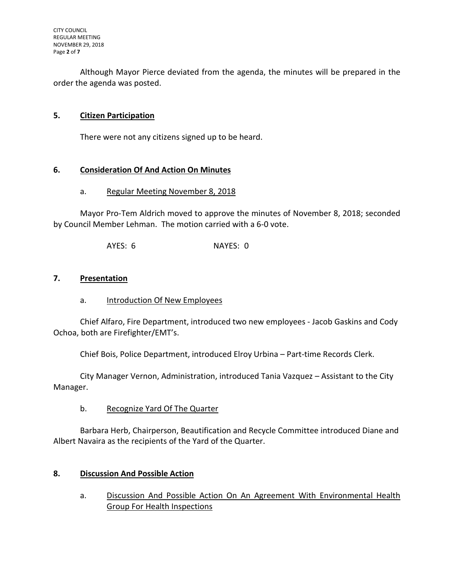Although Mayor Pierce deviated from the agenda, the minutes will be prepared in the order the agenda was posted.

## **5. Citizen Participation**

There were not any citizens signed up to be heard.

## **6. Consideration Of And Action On Minutes**

#### a. Regular Meeting November 8, 2018

Mayor Pro-Tem Aldrich moved to approve the minutes of November 8, 2018; seconded by Council Member Lehman. The motion carried with a 6-0 vote.

AYES: 6 NAYES: 0

#### **7. Presentation**

a. Introduction Of New Employees

Chief Alfaro, Fire Department, introduced two new employees - Jacob Gaskins and Cody Ochoa, both are Firefighter/EMT's.

Chief Bois, Police Department, introduced Elroy Urbina – Part-time Records Clerk.

City Manager Vernon, Administration, introduced Tania Vazquez – Assistant to the City Manager.

b. Recognize Yard Of The Quarter

Barbara Herb, Chairperson, Beautification and Recycle Committee introduced Diane and Albert Navaira as the recipients of the Yard of the Quarter.

#### **8. Discussion And Possible Action**

a. Discussion And Possible Action On An Agreement With Environmental Health Group For Health Inspections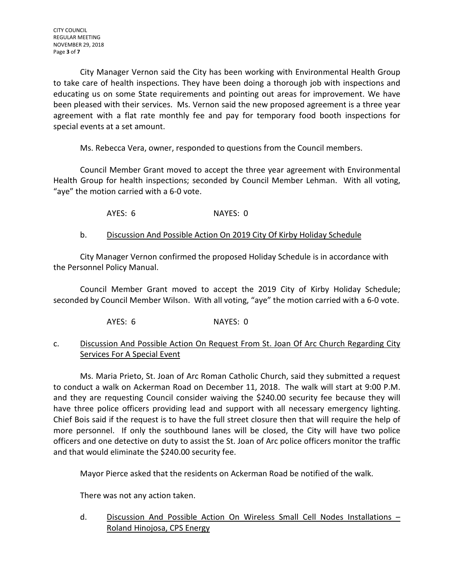City Manager Vernon said the City has been working with Environmental Health Group to take care of health inspections. They have been doing a thorough job with inspections and educating us on some State requirements and pointing out areas for improvement. We have been pleased with their services. Ms. Vernon said the new proposed agreement is a three year agreement with a flat rate monthly fee and pay for temporary food booth inspections for special events at a set amount.

Ms. Rebecca Vera, owner, responded to questions from the Council members.

Council Member Grant moved to accept the three year agreement with Environmental Health Group for health inspections; seconded by Council Member Lehman. With all voting, "aye" the motion carried with a 6-0 vote.

AYES: 6 NAYES: 0

## b. Discussion And Possible Action On 2019 City Of Kirby Holiday Schedule

City Manager Vernon confirmed the proposed Holiday Schedule is in accordance with the Personnel Policy Manual.

Council Member Grant moved to accept the 2019 City of Kirby Holiday Schedule; seconded by Council Member Wilson. With all voting, "aye" the motion carried with a 6-0 vote.

AYES: 6 NAYES: 0

# c. Discussion And Possible Action On Request From St. Joan Of Arc Church Regarding City **Services For A Special Event**

Ms. Maria Prieto, St. Joan of Arc Roman Catholic Church, said they submitted a request to conduct a walk on Ackerman Road on December 11, 2018. The walk will start at 9:00 P.M. and they are requesting Council consider waiving the \$240.00 security fee because they will have three police officers providing lead and support with all necessary emergency lighting. Chief Bois said if the request is to have the full street closure then that will require the help of more personnel. If only the southbound lanes will be closed, the City will have two police officers and one detective on duty to assist the St. Joan of Arc police officers monitor the traffic and that would eliminate the \$240.00 security fee.

Mayor Pierce asked that the residents on Ackerman Road be notified of the walk.

There was not any action taken.

d. Discussion And Possible Action On Wireless Small Cell Nodes Installations – Roland Hinojosa, CPS Energy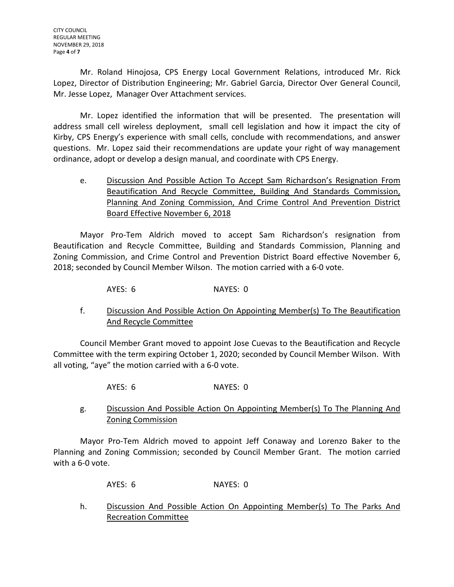Mr. Roland Hinojosa, CPS Energy Local Government Relations, introduced Mr. Rick Lopez, Director of Distribution Engineering; Mr. Gabriel Garcia, Director Over General Council, Mr. Jesse Lopez, Manager Over Attachment services.

Mr. Lopez identified the information that will be presented. The presentation will address small cell wireless deployment, small cell legislation and how it impact the city of Kirby, CPS Energy's experience with small cells, conclude with recommendations, and answer questions. Mr. Lopez said their recommendations are update your right of way management ordinance, adopt or develop a design manual, and coordinate with CPS Energy.

e. Discussion And Possible Action To Accept Sam Richardson's Resignation From Beautification And Recycle Committee, Building And Standards Commission, Planning And Zoning Commission, And Crime Control And Prevention District Board Effective November 6, 2018

Mayor Pro-Tem Aldrich moved to accept Sam Richardson's resignation from Beautification and Recycle Committee, Building and Standards Commission, Planning and Zoning Commission, and Crime Control and Prevention District Board effective November 6, 2018; seconded by Council Member Wilson. The motion carried with a 6-0 vote.

AYES: 6 NAYES: 0

f. Discussion And Possible Action On Appointing Member(s) To The Beautification And Recycle Committee

Council Member Grant moved to appoint Jose Cuevas to the Beautification and Recycle Committee with the term expiring October 1, 2020; seconded by Council Member Wilson. With all voting, "aye" the motion carried with a 6-0 vote.

AYES: 6 NAYES: 0

# g. Discussion And Possible Action On Appointing Member(s) To The Planning And Zoning Commission

Mayor Pro-Tem Aldrich moved to appoint Jeff Conaway and Lorenzo Baker to the Planning and Zoning Commission; seconded by Council Member Grant. The motion carried with a 6-0 vote.

AYES: 6 NAYES: 0

h. Discussion And Possible Action On Appointing Member(s) To The Parks And Recreation Committee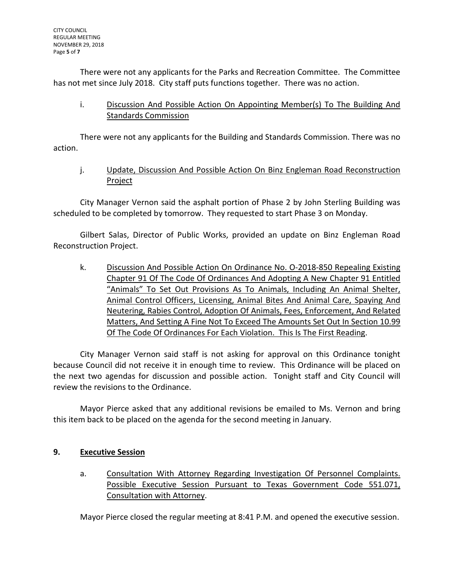There were not any applicants for the Parks and Recreation Committee. The Committee has not met since July 2018. City staff puts functions together. There was no action.

i. Discussion And Possible Action On Appointing Member(s) To The Building And Standards Commission

There were not any applicants for the Building and Standards Commission. There was no action.

j. Update, Discussion And Possible Action On Binz Engleman Road Reconstruction Project

City Manager Vernon said the asphalt portion of Phase 2 by John Sterling Building was scheduled to be completed by tomorrow. They requested to start Phase 3 on Monday.

Gilbert Salas, Director of Public Works, provided an update on Binz Engleman Road Reconstruction Project.

k. Discussion And Possible Action On Ordinance No. O-2018-850 Repealing Existing Chapter 91 Of The Code Of Ordinances And Adopting A New Chapter 91 Entitled "Animals" To Set Out Provisions As To Animals, Including An Animal Shelter, Animal Control Officers, Licensing, Animal Bites And Animal Care, Spaying And Neutering, Rabies Control, Adoption Of Animals, Fees, Enforcement, And Related Matters, And Setting A Fine Not To Exceed The Amounts Set Out In Section 10.99 Of The Code Of Ordinances For Each Violation. This Is The First Reading.

City Manager Vernon said staff is not asking for approval on this Ordinance tonight because Council did not receive it in enough time to review. This Ordinance will be placed on the next two agendas for discussion and possible action. Tonight staff and City Council will review the revisions to the Ordinance.

Mayor Pierce asked that any additional revisions be emailed to Ms. Vernon and bring this item back to be placed on the agenda for the second meeting in January.

# **9. Executive Session**

a. Consultation With Attorney Regarding Investigation Of Personnel Complaints. Possible Executive Session Pursuant to Texas Government Code 551.071, Consultation with Attorney.

Mayor Pierce closed the regular meeting at 8:41 P.M. and opened the executive session.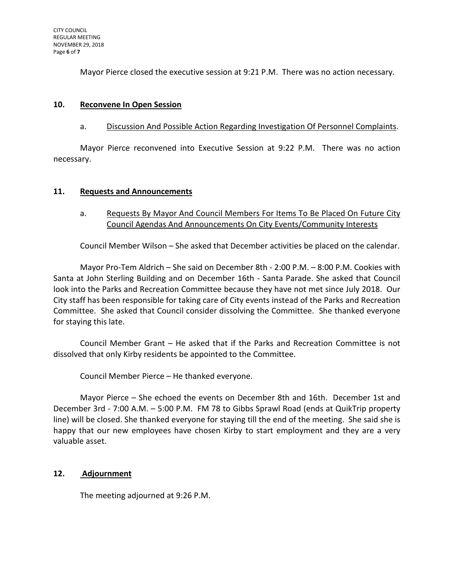Mayor Pierce closed the executive session at 9:21 P.M. There was no action necessary.

## **10. Reconvene In Open Session**

### a. Discussion And Possible Action Regarding Investigation Of Personnel Complaints.

Mayor Pierce reconvened into Executive Session at 9:22 P.M. There was no action necessary.

## **11. Requests and Announcements**

## a. Requests By Mayor And Council Members For Items To Be Placed On Future City Council Agendas And Announcements On City Events/Community Interests

Council Member Wilson – She asked that December activities be placed on the calendar.

Mayor Pro-Tem Aldrich – She said on December 8th - 2:00 P.M. – 8:00 P.M. Cookies with Santa at John Sterling Building and on December 16th - Santa Parade. She asked that Council look into the Parks and Recreation Committee because they have not met since July 2018. Our City staff has been responsible for taking care of City events instead of the Parks and Recreation Committee. She asked that Council consider dissolving the Committee. She thanked everyone for staying this late.

Council Member Grant – He asked that if the Parks and Recreation Committee is not dissolved that only Kirby residents be appointed to the Committee.

Council Member Pierce – He thanked everyone.

Mayor Pierce – She echoed the events on December 8th and 16th. December 1st and December 3rd - 7:00 A.M. – 5:00 P.M. FM 78 to Gibbs Sprawl Road (ends at QuikTrip property line) will be closed. She thanked everyone for staying till the end of the meeting. She said she is happy that our new employees have chosen Kirby to start employment and they are a very valuable asset.

# **12. Adjournment**

The meeting adjourned at 9:26 P.M.